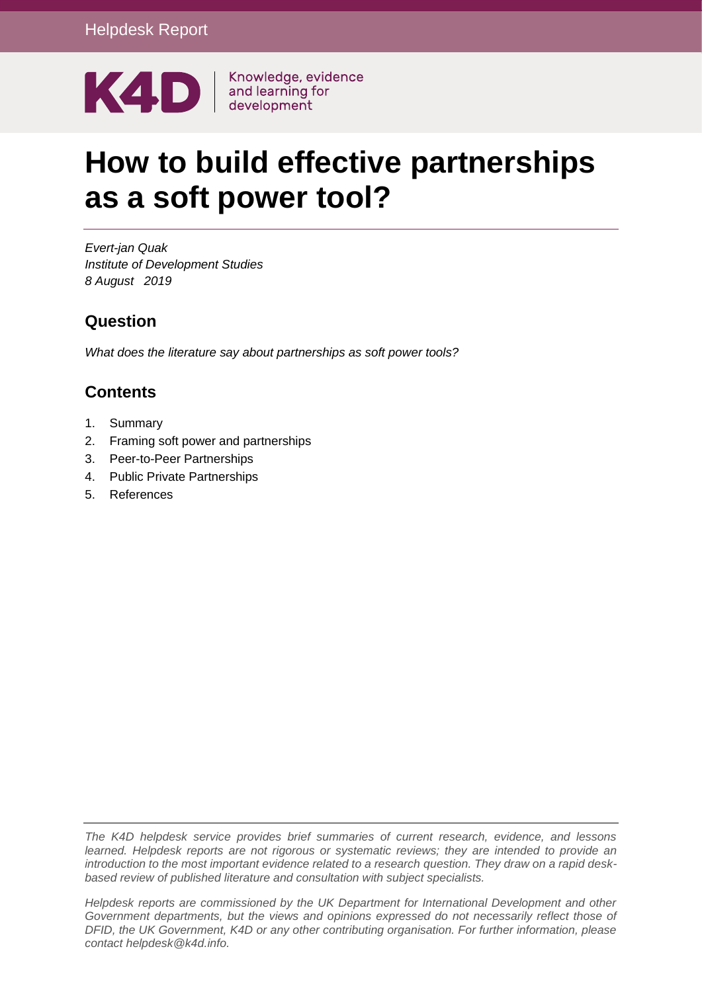

# **How to build effective partnerships as a soft power tool?**

*Evert-jan Quak Institute of Development Studies 8 August 2019*

### **Question**

*What does the literature say about partnerships as soft power tools?*

## **Contents**

- 1. [Summary](#page-1-0)
- 2. [Framing soft power and partnerships](#page-2-0)
- 3. [Peer-to-Peer Partnerships](#page-3-0)
- 4. [Public Private Partnerships](#page-14-0)
- 5. [References](#page-18-0)

*The K4D helpdesk service provides brief summaries of current research, evidence, and lessons learned. Helpdesk reports are not rigorous or systematic reviews; they are intended to provide an introduction to the most important evidence related to a research question. They draw on a rapid deskbased review of published literature and consultation with subject specialists.* 

*Helpdesk reports are commissioned by the UK Department for International Development and other Government departments, but the views and opinions expressed do not necessarily reflect those of DFID, the UK Government, K4D or any other contributing organisation. For further information, please contact helpdesk@k4d.info.*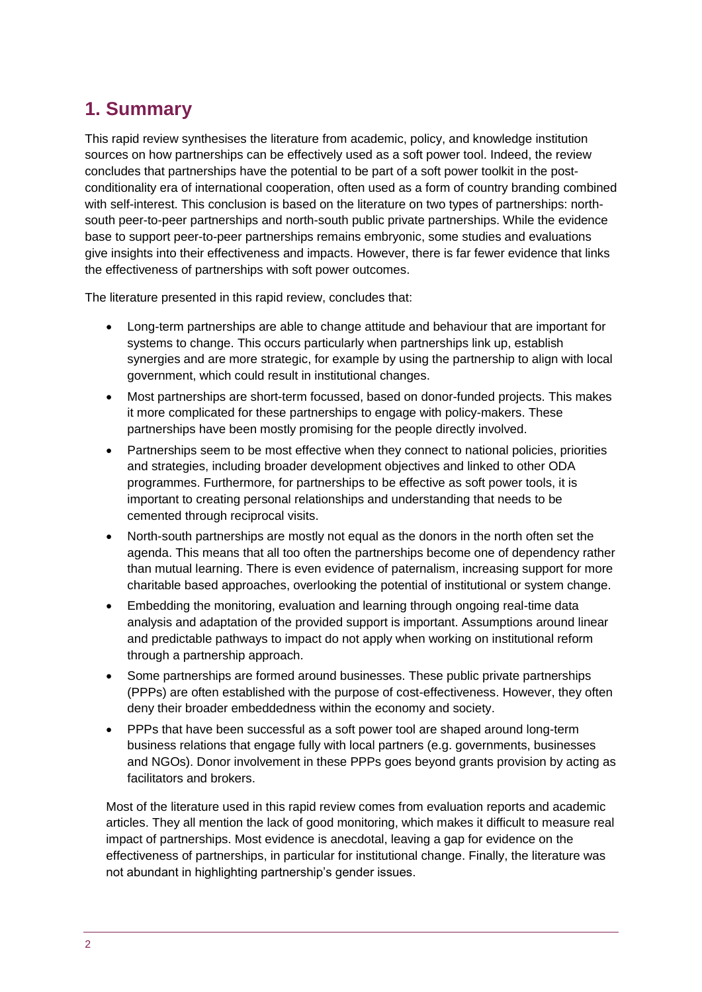# <span id="page-1-0"></span>**1. Summary**

This rapid review synthesises the literature from academic, policy, and knowledge institution sources on how partnerships can be effectively used as a soft power tool. Indeed, the review concludes that partnerships have the potential to be part of a soft power toolkit in the postconditionality era of international cooperation, often used as a form of country branding combined with self-interest. This conclusion is based on the literature on two types of partnerships: northsouth peer-to-peer partnerships and north-south public private partnerships. While the evidence base to support peer-to-peer partnerships remains embryonic, some studies and evaluations give insights into their effectiveness and impacts. However, there is far fewer evidence that links the effectiveness of partnerships with soft power outcomes.

The literature presented in this rapid review, concludes that:

- Long-term partnerships are able to change attitude and behaviour that are important for systems to change. This occurs particularly when partnerships link up, establish synergies and are more strategic, for example by using the partnership to align with local government, which could result in institutional changes.
- Most partnerships are short-term focussed, based on donor-funded projects. This makes it more complicated for these partnerships to engage with policy-makers. These partnerships have been mostly promising for the people directly involved.
- Partnerships seem to be most effective when they connect to national policies, priorities and strategies, including broader development objectives and linked to other ODA programmes. Furthermore, for partnerships to be effective as soft power tools, it is important to creating personal relationships and understanding that needs to be cemented through reciprocal visits.
- North-south partnerships are mostly not equal as the donors in the north often set the agenda. This means that all too often the partnerships become one of dependency rather than mutual learning. There is even evidence of paternalism, increasing support for more charitable based approaches, overlooking the potential of institutional or system change.
- Embedding the monitoring, evaluation and learning through ongoing real-time data analysis and adaptation of the provided support is important. Assumptions around linear and predictable pathways to impact do not apply when working on institutional reform through a partnership approach.
- Some partnerships are formed around businesses. These public private partnerships (PPPs) are often established with the purpose of cost-effectiveness. However, they often deny their broader embeddedness within the economy and society.
- PPPs that have been successful as a soft power tool are shaped around long-term business relations that engage fully with local partners (e.g. governments, businesses and NGOs). Donor involvement in these PPPs goes beyond grants provision by acting as facilitators and brokers.

Most of the literature used in this rapid review comes from evaluation reports and academic articles. They all mention the lack of good monitoring, which makes it difficult to measure real impact of partnerships. Most evidence is anecdotal, leaving a gap for evidence on the effectiveness of partnerships, in particular for institutional change. Finally, the literature was not abundant in highlighting partnership's gender issues.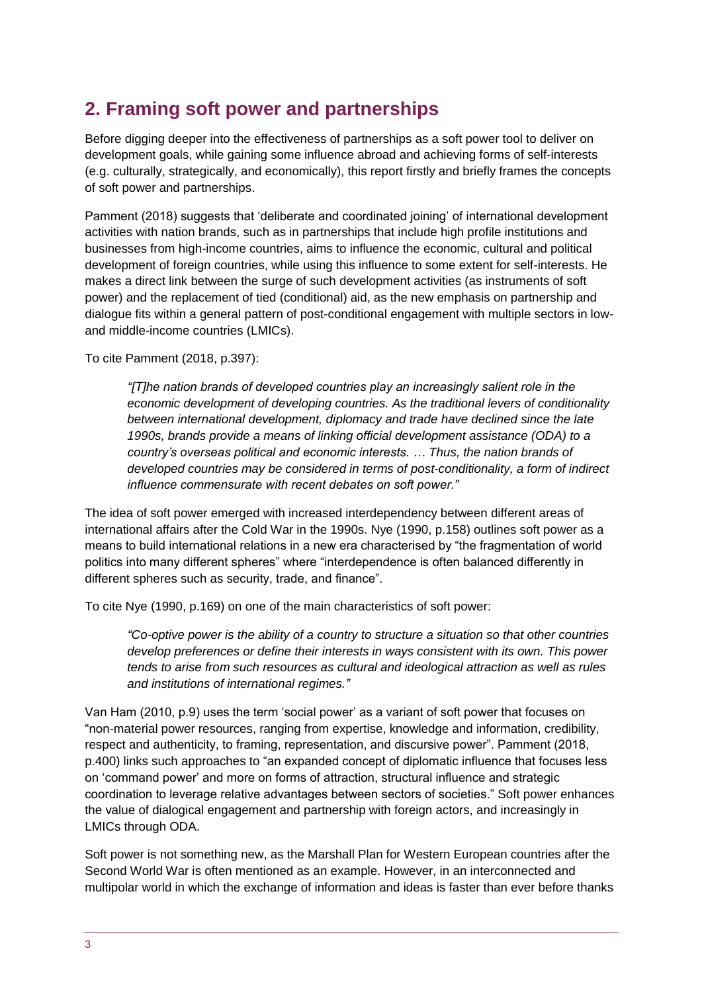# <span id="page-2-0"></span>**2. Framing soft power and partnerships**

Before digging deeper into the effectiveness of partnerships as a soft power tool to deliver on development goals, while gaining some influence abroad and achieving forms of self-interests (e.g. culturally, strategically, and economically), this report firstly and briefly frames the concepts of soft power and partnerships.

Pamment (2018) suggests that 'deliberate and coordinated joining' of international development activities with nation brands, such as in partnerships that include high profile institutions and businesses from high-income countries, aims to influence the economic, cultural and political development of foreign countries, while using this influence to some extent for self-interests. He makes a direct link between the surge of such development activities (as instruments of soft power) and the replacement of tied (conditional) aid, as the new emphasis on partnership and dialogue fits within a general pattern of post-conditional engagement with multiple sectors in lowand middle-income countries (LMICs).

To cite Pamment (2018, p.397):

*"[T]he nation brands of developed countries play an increasingly salient role in the economic development of developing countries. As the traditional levers of conditionality between international development, diplomacy and trade have declined since the late 1990s, brands provide a means of linking official development assistance (ODA) to a country's overseas political and economic interests. … Thus, the nation brands of developed countries may be considered in terms of post-conditionality, a form of indirect influence commensurate with recent debates on soft power."*

The idea of soft power emerged with increased interdependency between different areas of international affairs after the Cold War in the 1990s. Nye (1990, p.158) outlines soft power as a means to build international relations in a new era characterised by "the fragmentation of world politics into many different spheres" where "interdependence is often balanced differently in different spheres such as security, trade, and finance".

To cite Nye (1990, p.169) on one of the main characteristics of soft power:

*"Co-optive power is the ability of a country to structure a situation so that other countries develop preferences or define their interests in ways consistent with its own. This power tends to arise from such resources as cultural and ideological attraction as well as rules and institutions of international regimes."*

Van Ham (2010, p.9) uses the term 'social power' as a variant of soft power that focuses on "non-material power resources, ranging from expertise, knowledge and information, credibility, respect and authenticity, to framing, representation, and discursive power". Pamment (2018, p.400) links such approaches to "an expanded concept of diplomatic influence that focuses less on 'command power' and more on forms of attraction, structural influence and strategic coordination to leverage relative advantages between sectors of societies." Soft power enhances the value of dialogical engagement and partnership with foreign actors, and increasingly in LMICs through ODA.

Soft power is not something new, as the Marshall Plan for Western European countries after the Second World War is often mentioned as an example. However, in an interconnected and multipolar world in which the exchange of information and ideas is faster than ever before thanks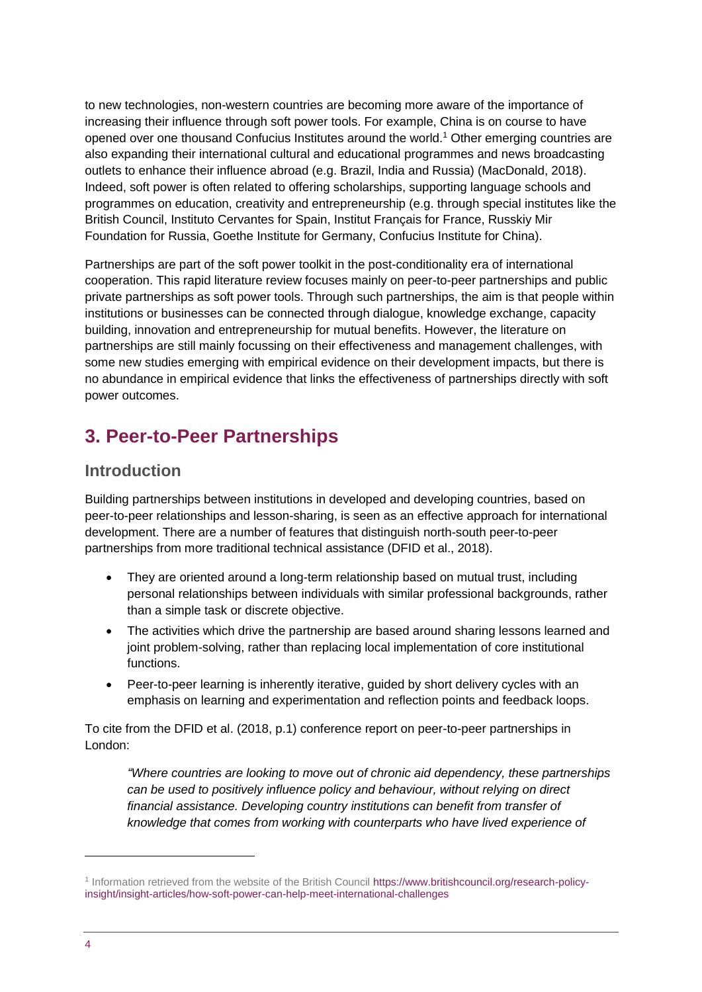to new technologies, non-western countries are becoming more aware of the importance of increasing their influence through soft power tools. For example, China is on course to have opened over one thousand Confucius Institutes around the world.<sup>1</sup> Other emerging countries are also expanding their international cultural and educational programmes and news broadcasting outlets to enhance their influence abroad (e.g. Brazil, India and Russia) (MacDonald, 2018). Indeed, soft power is often related to offering scholarships, supporting language schools and programmes on education, creativity and entrepreneurship (e.g. through special institutes like the British Council, Instituto Cervantes for Spain, Institut Français for France, Russkiy Mir Foundation for Russia, Goethe Institute for Germany, Confucius Institute for China).

Partnerships are part of the soft power toolkit in the post-conditionality era of international cooperation. This rapid literature review focuses mainly on peer-to-peer partnerships and public private partnerships as soft power tools. Through such partnerships, the aim is that people within institutions or businesses can be connected through dialogue, knowledge exchange, capacity building, innovation and entrepreneurship for mutual benefits. However, the literature on partnerships are still mainly focussing on their effectiveness and management challenges, with some new studies emerging with empirical evidence on their development impacts, but there is no abundance in empirical evidence that links the effectiveness of partnerships directly with soft power outcomes.

# <span id="page-3-0"></span>**3. Peer-to-Peer Partnerships**

### **Introduction**

Building partnerships between institutions in developed and developing countries, based on peer-to-peer relationships and lesson-sharing, is seen as an effective approach for international development. There are a number of features that distinguish north-south peer-to-peer partnerships from more traditional technical assistance (DFID et al., 2018).

- They are oriented around a long-term relationship based on mutual trust, including personal relationships between individuals with similar professional backgrounds, rather than a simple task or discrete objective.
- The activities which drive the partnership are based around sharing lessons learned and joint problem-solving, rather than replacing local implementation of core institutional functions.
- Peer-to-peer learning is inherently iterative, guided by short delivery cycles with an emphasis on learning and experimentation and reflection points and feedback loops.

To cite from the DFID et al. (2018, p.1) conference report on peer-to-peer partnerships in London:

*"Where countries are looking to move out of chronic aid dependency, these partnerships can be used to positively influence policy and behaviour, without relying on direct financial assistance. Developing country institutions can benefit from transfer of knowledge that comes from working with counterparts who have lived experience of* 

-

<sup>1</sup> Information retrieved from the website of the British Council [https://www.britishcouncil.org/research-policy](https://www.britishcouncil.org/research-policy-insight/insight-articles/how-soft-power-can-help-meet-international-challenges)[insight/insight-articles/how-soft-power-can-help-meet-international-challenges](https://www.britishcouncil.org/research-policy-insight/insight-articles/how-soft-power-can-help-meet-international-challenges)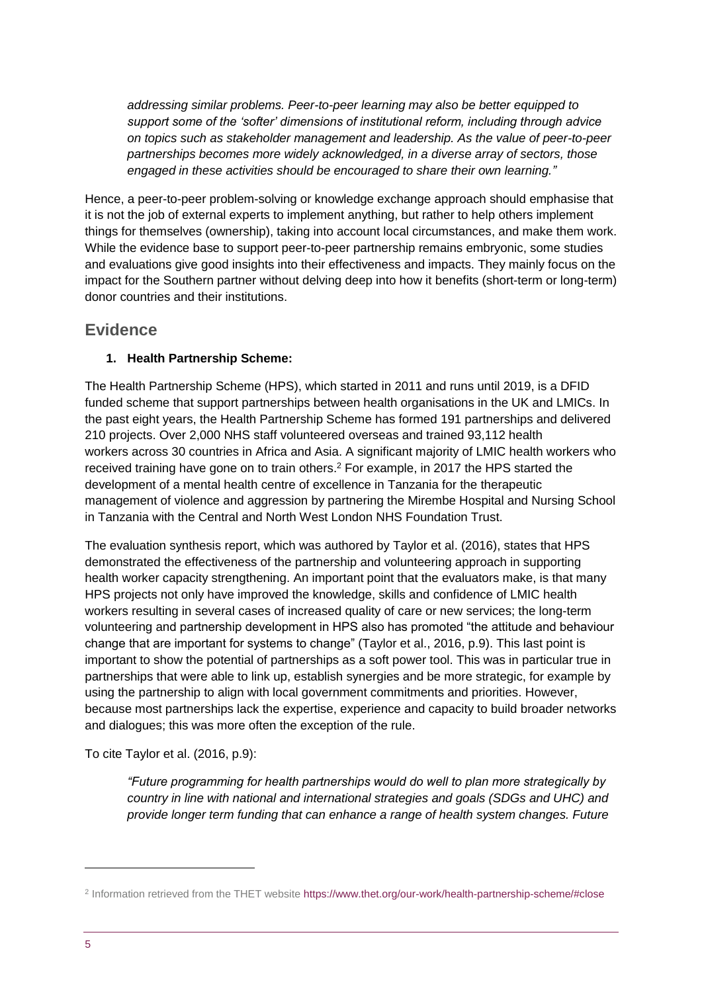*addressing similar problems. Peer-to-peer learning may also be better equipped to support some of the 'softer' dimensions of institutional reform, including through advice on topics such as stakeholder management and leadership. As the value of peer-to-peer partnerships becomes more widely acknowledged, in a diverse array of sectors, those engaged in these activities should be encouraged to share their own learning."*

Hence, a peer-to-peer problem-solving or knowledge exchange approach should emphasise that it is not the job of external experts to implement anything, but rather to help others implement things for themselves (ownership), taking into account local circumstances, and make them work. While the evidence base to support peer-to-peer partnership remains embryonic, some studies and evaluations give good insights into their effectiveness and impacts. They mainly focus on the impact for the Southern partner without delving deep into how it benefits (short-term or long-term) donor countries and their institutions.

### **Evidence**

#### **1. Health Partnership Scheme:**

The Health Partnership Scheme (HPS), which started in 2011 and runs until 2019, is a DFID funded scheme that support partnerships between health organisations in the UK and LMICs. In the past eight years, the Health Partnership Scheme has formed 191 partnerships and delivered 210 projects. Over 2,000 NHS staff volunteered overseas and trained 93,112 health workers across 30 countries in Africa and Asia. A significant majority of LMIC health workers who received training have gone on to train others.<sup>2</sup> For example, in 2017 the HPS started the development of a mental health centre of excellence in Tanzania for the therapeutic management of violence and aggression by partnering the Mirembe Hospital and Nursing School in Tanzania with the Central and North West London NHS Foundation Trust.

The evaluation synthesis report, which was authored by Taylor et al. (2016), states that HPS demonstrated the effectiveness of the partnership and volunteering approach in supporting health worker capacity strengthening. An important point that the evaluators make, is that many HPS projects not only have improved the knowledge, skills and confidence of LMIC health workers resulting in several cases of increased quality of care or new services; the long-term volunteering and partnership development in HPS also has promoted "the attitude and behaviour change that are important for systems to change" (Taylor et al., 2016, p.9). This last point is important to show the potential of partnerships as a soft power tool. This was in particular true in partnerships that were able to link up, establish synergies and be more strategic, for example by using the partnership to align with local government commitments and priorities. However, because most partnerships lack the expertise, experience and capacity to build broader networks and dialogues; this was more often the exception of the rule.

To cite Taylor et al. (2016, p.9):

*"Future programming for health partnerships would do well to plan more strategically by country in line with national and international strategies and goals (SDGs and UHC) and provide longer term funding that can enhance a range of health system changes. Future* 

-

<sup>&</sup>lt;sup>2</sup> Information retrieved from the THET website<https://www.thet.org/our-work/health-partnership-scheme/#close>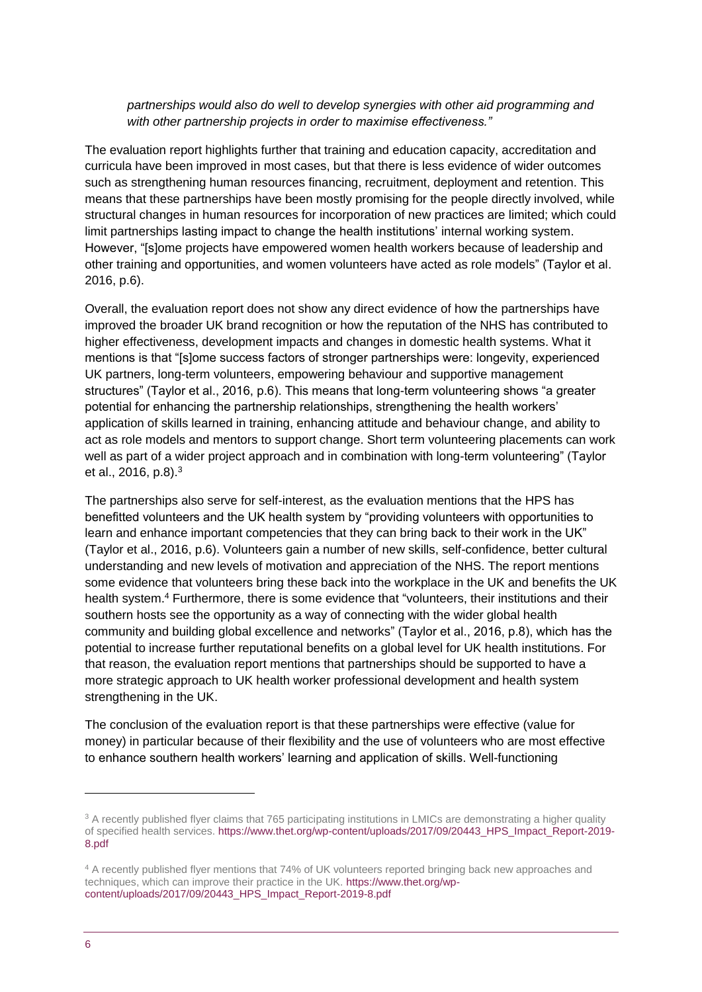#### *partnerships would also do well to develop synergies with other aid programming and with other partnership projects in order to maximise effectiveness."*

The evaluation report highlights further that training and education capacity, accreditation and curricula have been improved in most cases, but that there is less evidence of wider outcomes such as strengthening human resources financing, recruitment, deployment and retention. This means that these partnerships have been mostly promising for the people directly involved, while structural changes in human resources for incorporation of new practices are limited; which could limit partnerships lasting impact to change the health institutions' internal working system. However, "[s]ome projects have empowered women health workers because of leadership and other training and opportunities, and women volunteers have acted as role models" (Taylor et al. 2016, p.6).

Overall, the evaluation report does not show any direct evidence of how the partnerships have improved the broader UK brand recognition or how the reputation of the NHS has contributed to higher effectiveness, development impacts and changes in domestic health systems. What it mentions is that "[s]ome success factors of stronger partnerships were: longevity, experienced UK partners, long-term volunteers, empowering behaviour and supportive management structures" (Taylor et al., 2016, p.6). This means that long-term volunteering shows "a greater potential for enhancing the partnership relationships, strengthening the health workers' application of skills learned in training, enhancing attitude and behaviour change, and ability to act as role models and mentors to support change. Short term volunteering placements can work well as part of a wider project approach and in combination with long-term volunteering" (Taylor et al., 2016, p.8).<sup>3</sup>

The partnerships also serve for self-interest, as the evaluation mentions that the HPS has benefitted volunteers and the UK health system by "providing volunteers with opportunities to learn and enhance important competencies that they can bring back to their work in the UK" (Taylor et al., 2016, p.6). Volunteers gain a number of new skills, self-confidence, better cultural understanding and new levels of motivation and appreciation of the NHS. The report mentions some evidence that volunteers bring these back into the workplace in the UK and benefits the UK health system.<sup>4</sup> Furthermore, there is some evidence that "volunteers, their institutions and their southern hosts see the opportunity as a way of connecting with the wider global health community and building global excellence and networks" (Taylor et al., 2016, p.8), which has the potential to increase further reputational benefits on a global level for UK health institutions. For that reason, the evaluation report mentions that partnerships should be supported to have a more strategic approach to UK health worker professional development and health system strengthening in the UK.

The conclusion of the evaluation report is that these partnerships were effective (value for money) in particular because of their flexibility and the use of volunteers who are most effective to enhance southern health workers' learning and application of skills. Well-functioning

1

<sup>&</sup>lt;sup>3</sup> A recently published flyer claims that 765 participating institutions in LMICs are demonstrating a higher quality of specified health services. [https://www.thet.org/wp-content/uploads/2017/09/20443\\_HPS\\_Impact\\_Report-2019-](https://www.thet.org/wp-content/uploads/2017/09/20443_HPS_Impact_Report-2019-8.pdf) [8.pdf](https://www.thet.org/wp-content/uploads/2017/09/20443_HPS_Impact_Report-2019-8.pdf)

<sup>4</sup> A recently published flyer mentions that 74% of UK volunteers reported bringing back new approaches and techniques, which can improve their practice in the UK[. https://www.thet.org/wp](https://www.thet.org/wp-content/uploads/2017/09/20443_HPS_Impact_Report-2019-8.pdf)[content/uploads/2017/09/20443\\_HPS\\_Impact\\_Report-2019-8.pdf](https://www.thet.org/wp-content/uploads/2017/09/20443_HPS_Impact_Report-2019-8.pdf)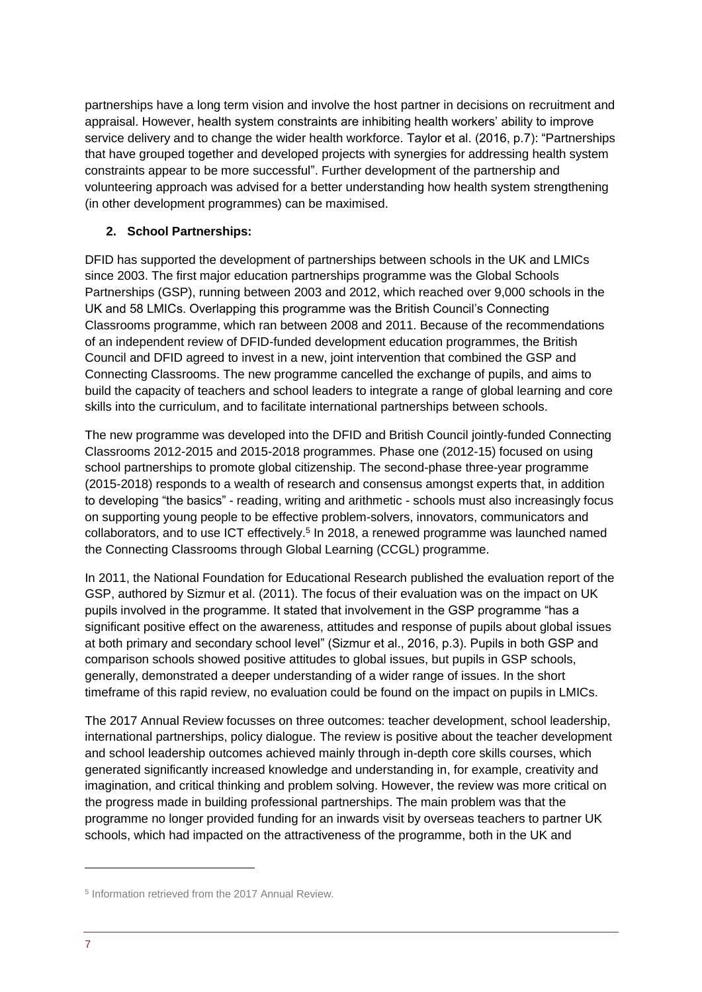partnerships have a long term vision and involve the host partner in decisions on recruitment and appraisal. However, health system constraints are inhibiting health workers' ability to improve service delivery and to change the wider health workforce. Taylor et al. (2016, p.7): "Partnerships that have grouped together and developed projects with synergies for addressing health system constraints appear to be more successful". Further development of the partnership and volunteering approach was advised for a better understanding how health system strengthening (in other development programmes) can be maximised.

#### **2. School Partnerships:**

DFID has supported the development of partnerships between schools in the UK and LMICs since 2003. The first major education partnerships programme was the Global Schools Partnerships (GSP), running between 2003 and 2012, which reached over 9,000 schools in the UK and 58 LMICs. Overlapping this programme was the British Council's Connecting Classrooms programme, which ran between 2008 and 2011. Because of the recommendations of an independent review of DFID-funded development education programmes, the British Council and DFID agreed to invest in a new, joint intervention that combined the GSP and Connecting Classrooms. The new programme cancelled the exchange of pupils, and aims to build the capacity of teachers and school leaders to integrate a range of global learning and core skills into the curriculum, and to facilitate international partnerships between schools.

The new programme was developed into the DFID and British Council jointly-funded Connecting Classrooms 2012-2015 and 2015-2018 programmes. Phase one (2012-15) focused on using school partnerships to promote global citizenship. The second-phase three-year programme (2015-2018) responds to a wealth of research and consensus amongst experts that, in addition to developing "the basics" - reading, writing and arithmetic - schools must also increasingly focus on supporting young people to be effective problem-solvers, innovators, communicators and collaborators, and to use ICT effectively.<sup>5</sup> In 2018, a renewed programme was launched named the Connecting Classrooms through Global Learning (CCGL) programme.

In 2011, the National Foundation for Educational Research published the evaluation report of the GSP, authored by Sizmur et al. (2011). The focus of their evaluation was on the impact on UK pupils involved in the programme. It stated that involvement in the GSP programme "has a significant positive effect on the awareness, attitudes and response of pupils about global issues at both primary and secondary school level" (Sizmur et al., 2016, p.3). Pupils in both GSP and comparison schools showed positive attitudes to global issues, but pupils in GSP schools, generally, demonstrated a deeper understanding of a wider range of issues. In the short timeframe of this rapid review, no evaluation could be found on the impact on pupils in LMICs.

The 2017 Annual Review focusses on three outcomes: teacher development, school leadership, international partnerships, policy dialogue. The review is positive about the teacher development and school leadership outcomes achieved mainly through in-depth core skills courses, which generated significantly increased knowledge and understanding in, for example, creativity and imagination, and critical thinking and problem solving. However, the review was more critical on the progress made in building professional partnerships. The main problem was that the programme no longer provided funding for an inwards visit by overseas teachers to partner UK schools, which had impacted on the attractiveness of the programme, both in the UK and

-

<sup>5</sup> Information retrieved from the 2017 Annual Review.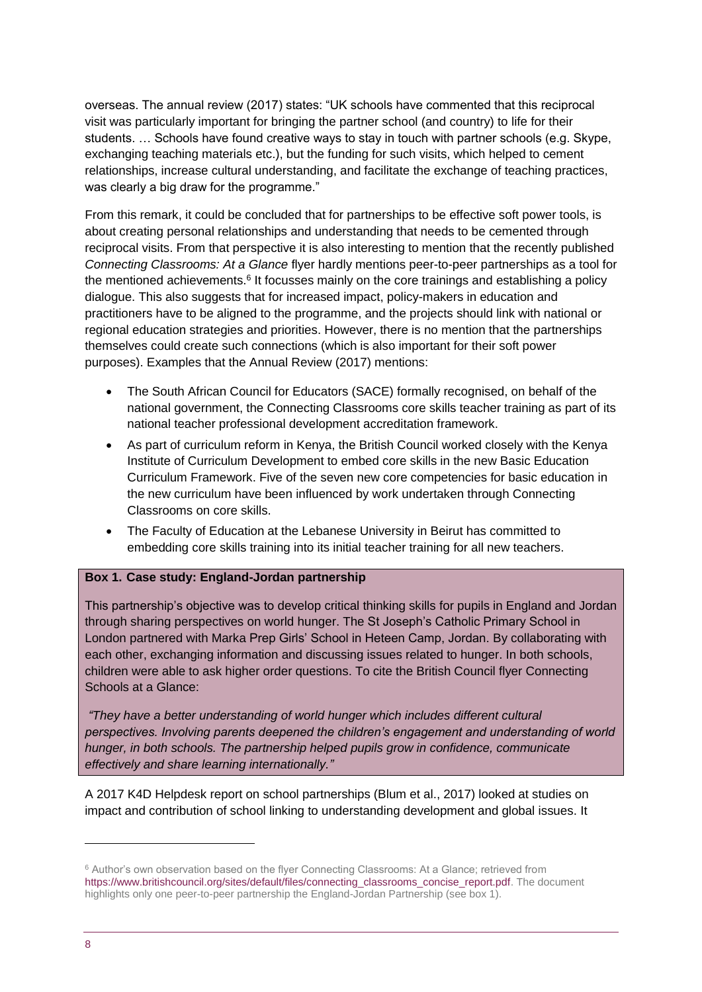overseas. The annual review (2017) states: "UK schools have commented that this reciprocal visit was particularly important for bringing the partner school (and country) to life for their students. … Schools have found creative ways to stay in touch with partner schools (e.g. Skype, exchanging teaching materials etc.), but the funding for such visits, which helped to cement relationships, increase cultural understanding, and facilitate the exchange of teaching practices, was clearly a big draw for the programme."

From this remark, it could be concluded that for partnerships to be effective soft power tools, is about creating personal relationships and understanding that needs to be cemented through reciprocal visits. From that perspective it is also interesting to mention that the recently published *Connecting Classrooms: At a Glance* flyer hardly mentions peer-to-peer partnerships as a tool for the mentioned achievements.<sup>6</sup> It focusses mainly on the core trainings and establishing a policy dialogue. This also suggests that for increased impact, policy-makers in education and practitioners have to be aligned to the programme, and the projects should link with national or regional education strategies and priorities. However, there is no mention that the partnerships themselves could create such connections (which is also important for their soft power purposes). Examples that the Annual Review (2017) mentions:

- The South African Council for Educators (SACE) formally recognised, on behalf of the national government, the Connecting Classrooms core skills teacher training as part of its national teacher professional development accreditation framework.
- As part of curriculum reform in Kenya, the British Council worked closely with the Kenya Institute of Curriculum Development to embed core skills in the new Basic Education Curriculum Framework. Five of the seven new core competencies for basic education in the new curriculum have been influenced by work undertaken through Connecting Classrooms on core skills.
- The Faculty of Education at the Lebanese University in Beirut has committed to embedding core skills training into its initial teacher training for all new teachers.

#### **Box 1. Case study: England-Jordan partnership**

This partnership's objective was to develop critical thinking skills for pupils in England and Jordan through sharing perspectives on world hunger. The St Joseph's Catholic Primary School in London partnered with Marka Prep Girls' School in Heteen Camp, Jordan. By collaborating with each other, exchanging information and discussing issues related to hunger. In both schools, children were able to ask higher order questions. To cite the British Council flyer Connecting Schools at a Glance:

*"They have a better understanding of world hunger which includes different cultural perspectives. Involving parents deepened the children's engagement and understanding of world hunger, in both schools. The partnership helped pupils grow in confidence, communicate effectively and share learning internationally."*

A 2017 K4D Helpdesk report on school partnerships (Blum et al., 2017) looked at studies on impact and contribution of school linking to understanding development and global issues. It

1

<sup>6</sup> Author's own observation based on the flyer Connecting Classrooms: At a Glance; retrieved from [https://www.britishcouncil.org/sites/default/files/connecting\\_classrooms\\_concise\\_report.pdf.](https://www.britishcouncil.org/sites/default/files/connecting_classrooms_concise_report.pdf) The document highlights only one peer-to-peer partnership the England-Jordan Partnership (see box 1).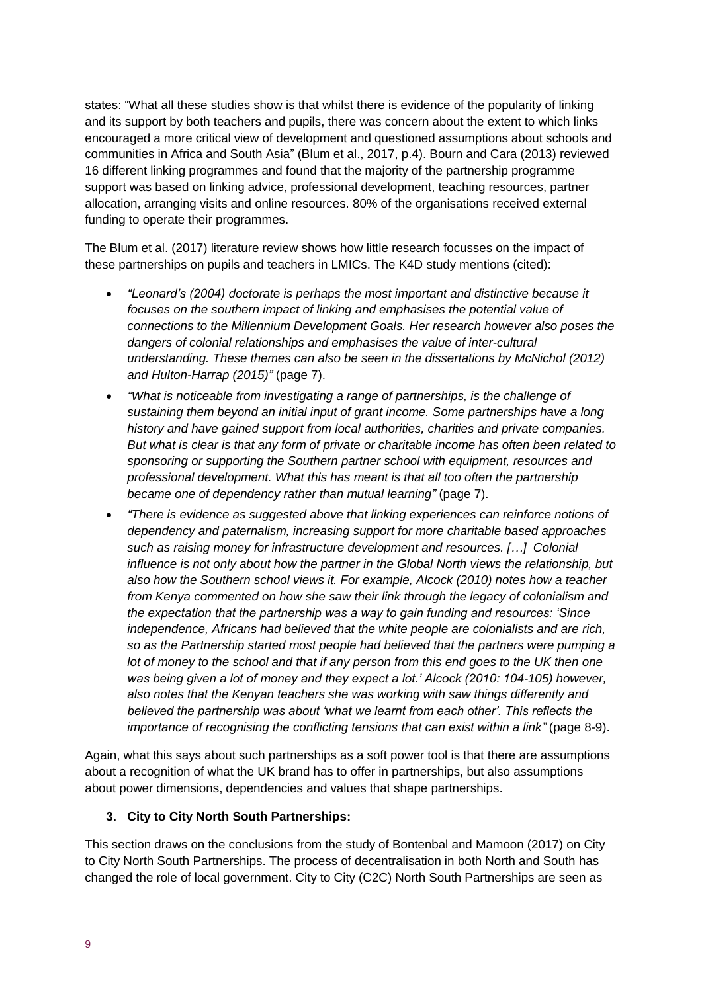states: "What all these studies show is that whilst there is evidence of the popularity of linking and its support by both teachers and pupils, there was concern about the extent to which links encouraged a more critical view of development and questioned assumptions about schools and communities in Africa and South Asia" (Blum et al., 2017, p.4). Bourn and Cara (2013) reviewed 16 different linking programmes and found that the majority of the partnership programme support was based on linking advice, professional development, teaching resources, partner allocation, arranging visits and online resources. 80% of the organisations received external funding to operate their programmes.

The Blum et al. (2017) literature review shows how little research focusses on the impact of these partnerships on pupils and teachers in LMICs. The K4D study mentions (cited):

- *"Leonard's (2004) doctorate is perhaps the most important and distinctive because it focuses on the southern impact of linking and emphasises the potential value of connections to the Millennium Development Goals. Her research however also poses the dangers of colonial relationships and emphasises the value of inter-cultural understanding. These themes can also be seen in the dissertations by McNichol (2012) and Hulton-Harrap (2015)"* (page 7).
- *"What is noticeable from investigating a range of partnerships, is the challenge of sustaining them beyond an initial input of grant income. Some partnerships have a long history and have gained support from local authorities, charities and private companies. But what is clear is that any form of private or charitable income has often been related to sponsoring or supporting the Southern partner school with equipment, resources and professional development. What this has meant is that all too often the partnership became one of dependency rather than mutual learning"* (page 7).
- *"There is evidence as suggested above that linking experiences can reinforce notions of dependency and paternalism, increasing support for more charitable based approaches such as raising money for infrastructure development and resources. […] Colonial influence is not only about how the partner in the Global North views the relationship, but also how the Southern school views it. For example, Alcock (2010) notes how a teacher from Kenya commented on how she saw their link through the legacy of colonialism and the expectation that the partnership was a way to gain funding and resources: 'Since independence, Africans had believed that the white people are colonialists and are rich, so as the Partnership started most people had believed that the partners were pumping a lot of money to the school and that if any person from this end goes to the UK then one was being given a lot of money and they expect a lot.' Alcock (2010: 104-105) however, also notes that the Kenyan teachers she was working with saw things differently and believed the partnership was about 'what we learnt from each other'. This reflects the importance of recognising the conflicting tensions that can exist within a link"* (page 8-9).

Again, what this says about such partnerships as a soft power tool is that there are assumptions about a recognition of what the UK brand has to offer in partnerships, but also assumptions about power dimensions, dependencies and values that shape partnerships.

#### **3. City to City North South Partnerships:**

This section draws on the conclusions from the study of Bontenbal and Mamoon (2017) on City to City North South Partnerships. The process of decentralisation in both North and South has changed the role of local government. City to City (C2C) North South Partnerships are seen as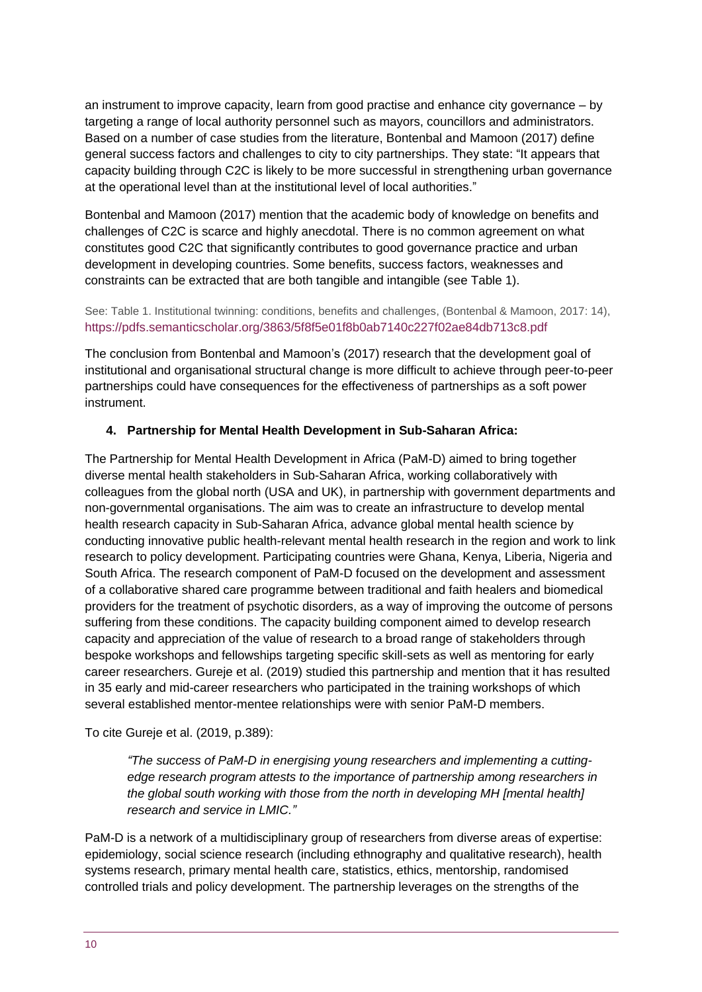an instrument to improve capacity, learn from good practise and enhance city governance – by targeting a range of local authority personnel such as mayors, councillors and administrators. Based on a number of case studies from the literature, Bontenbal and Mamoon (2017) define general success factors and challenges to city to city partnerships. They state: "It appears that capacity building through C2C is likely to be more successful in strengthening urban governance at the operational level than at the institutional level of local authorities."

Bontenbal and Mamoon (2017) mention that the academic body of knowledge on benefits and challenges of C2C is scarce and highly anecdotal. There is no common agreement on what constitutes good C2C that significantly contributes to good governance practice and urban development in developing countries. Some benefits, success factors, weaknesses and constraints can be extracted that are both tangible and intangible (see Table 1).

#### See: Table 1. Institutional twinning: conditions, benefits and challenges, (Bontenbal & Mamoon, 2017: 14), <https://pdfs.semanticscholar.org/3863/5f8f5e01f8b0ab7140c227f02ae84db713c8.pdf>

The conclusion from Bontenbal and Mamoon's (2017) research that the development goal of institutional and organisational structural change is more difficult to achieve through peer-to-peer partnerships could have consequences for the effectiveness of partnerships as a soft power instrument.

#### **4. Partnership for Mental Health Development in Sub-Saharan Africa:**

The Partnership for Mental Health Development in Africa (PaM-D) aimed to bring together diverse mental health stakeholders in Sub-Saharan Africa, working collaboratively with colleagues from the global north (USA and UK), in partnership with government departments and non-governmental organisations. The aim was to create an infrastructure to develop mental health research capacity in Sub-Saharan Africa, advance global mental health science by conducting innovative public health-relevant mental health research in the region and work to link research to policy development. Participating countries were Ghana, Kenya, Liberia, Nigeria and South Africa. The research component of PaM-D focused on the development and assessment of a collaborative shared care programme between traditional and faith healers and biomedical providers for the treatment of psychotic disorders, as a way of improving the outcome of persons suffering from these conditions. The capacity building component aimed to develop research capacity and appreciation of the value of research to a broad range of stakeholders through bespoke workshops and fellowships targeting specific skill-sets as well as mentoring for early career researchers. Gureje et al. (2019) studied this partnership and mention that it has resulted in 35 early and mid-career researchers who participated in the training workshops of which several established mentor-mentee relationships were with senior PaM-D members.

To cite Gureje et al. (2019, p.389):

*"The success of PaM-D in energising young researchers and implementing a cuttingedge research program attests to the importance of partnership among researchers in the global south working with those from the north in developing MH [mental health] research and service in LMIC."*

PaM-D is a network of a multidisciplinary group of researchers from diverse areas of expertise: epidemiology, social science research (including ethnography and qualitative research), health systems research, primary mental health care, statistics, ethics, mentorship, randomised controlled trials and policy development. The partnership leverages on the strengths of the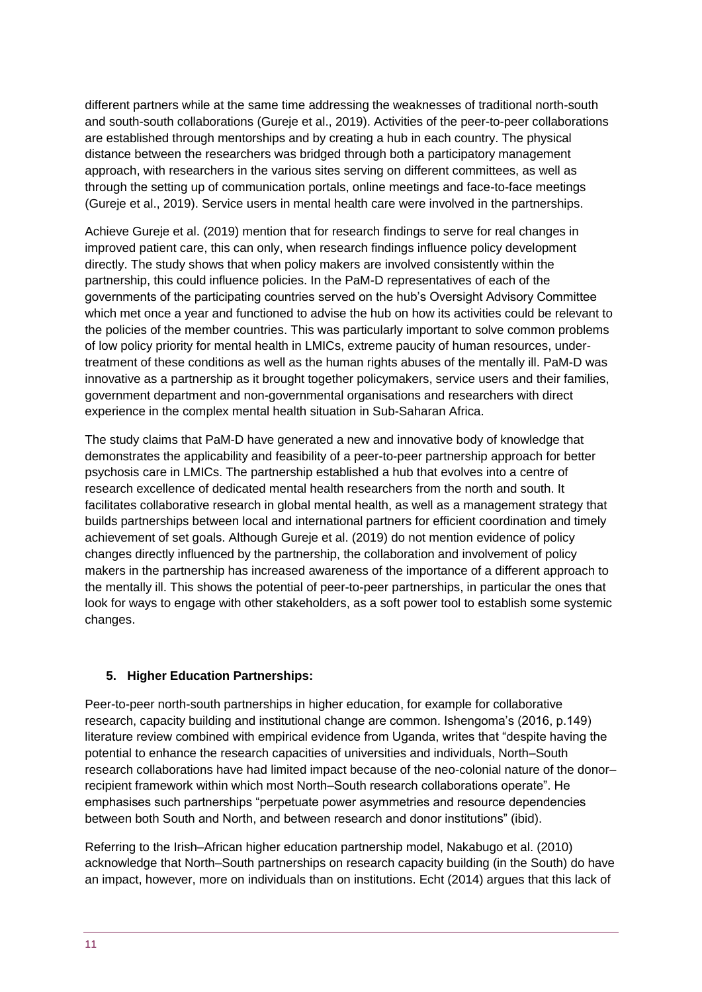different partners while at the same time addressing the weaknesses of traditional north-south and south-south collaborations (Gureje et al., 2019). Activities of the peer-to-peer collaborations are established through mentorships and by creating a hub in each country. The physical distance between the researchers was bridged through both a participatory management approach, with researchers in the various sites serving on different committees, as well as through the setting up of communication portals, online meetings and face-to-face meetings (Gureje et al., 2019). Service users in mental health care were involved in the partnerships.

Achieve Gureje et al. (2019) mention that for research findings to serve for real changes in improved patient care, this can only, when research findings influence policy development directly. The study shows that when policy makers are involved consistently within the partnership, this could influence policies. In the PaM-D representatives of each of the governments of the participating countries served on the hub's Oversight Advisory Committee which met once a year and functioned to advise the hub on how its activities could be relevant to the policies of the member countries. This was particularly important to solve common problems of low policy priority for mental health in LMICs, extreme paucity of human resources, undertreatment of these conditions as well as the human rights abuses of the mentally ill. PaM-D was innovative as a partnership as it brought together policymakers, service users and their families, government department and non-governmental organisations and researchers with direct experience in the complex mental health situation in Sub-Saharan Africa.

The study claims that PaM-D have generated a new and innovative body of knowledge that demonstrates the applicability and feasibility of a peer-to-peer partnership approach for better psychosis care in LMICs. The partnership established a hub that evolves into a centre of research excellence of dedicated mental health researchers from the north and south. It facilitates collaborative research in global mental health, as well as a management strategy that builds partnerships between local and international partners for efficient coordination and timely achievement of set goals. Although Gureje et al. (2019) do not mention evidence of policy changes directly influenced by the partnership, the collaboration and involvement of policy makers in the partnership has increased awareness of the importance of a different approach to the mentally ill. This shows the potential of peer-to-peer partnerships, in particular the ones that look for ways to engage with other stakeholders, as a soft power tool to establish some systemic changes.

#### **5. Higher Education Partnerships:**

Peer-to-peer north-south partnerships in higher education, for example for collaborative research, capacity building and institutional change are common. Ishengoma's (2016, p.149) literature review combined with empirical evidence from Uganda, writes that "despite having the potential to enhance the research capacities of universities and individuals, North–South research collaborations have had limited impact because of the neo-colonial nature of the donor– recipient framework within which most North–South research collaborations operate". He emphasises such partnerships "perpetuate power asymmetries and resource dependencies between both South and North, and between research and donor institutions" (ibid).

Referring to the Irish–African higher education partnership model, Nakabugo et al. (2010) acknowledge that North–South partnerships on research capacity building (in the South) do have an impact, however, more on individuals than on institutions. Echt (2014) argues that this lack of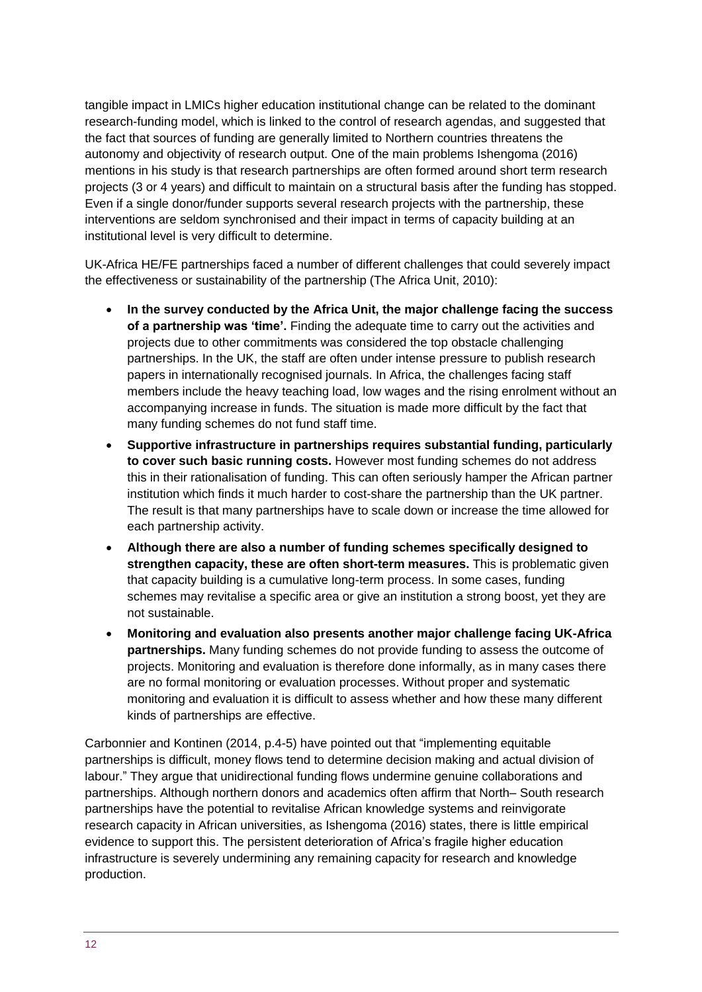tangible impact in LMICs higher education institutional change can be related to the dominant research-funding model, which is linked to the control of research agendas, and suggested that the fact that sources of funding are generally limited to Northern countries threatens the autonomy and objectivity of research output. One of the main problems Ishengoma (2016) mentions in his study is that research partnerships are often formed around short term research projects (3 or 4 years) and difficult to maintain on a structural basis after the funding has stopped. Even if a single donor/funder supports several research projects with the partnership, these interventions are seldom synchronised and their impact in terms of capacity building at an institutional level is very difficult to determine.

UK-Africa HE/FE partnerships faced a number of different challenges that could severely impact the effectiveness or sustainability of the partnership (The Africa Unit, 2010):

- **In the survey conducted by the Africa Unit, the major challenge facing the success of a partnership was 'time'.** Finding the adequate time to carry out the activities and projects due to other commitments was considered the top obstacle challenging partnerships. In the UK, the staff are often under intense pressure to publish research papers in internationally recognised journals. In Africa, the challenges facing staff members include the heavy teaching load, low wages and the rising enrolment without an accompanying increase in funds. The situation is made more difficult by the fact that many funding schemes do not fund staff time.
- **Supportive infrastructure in partnerships requires substantial funding, particularly to cover such basic running costs.** However most funding schemes do not address this in their rationalisation of funding. This can often seriously hamper the African partner institution which finds it much harder to cost-share the partnership than the UK partner. The result is that many partnerships have to scale down or increase the time allowed for each partnership activity.
- **Although there are also a number of funding schemes specifically designed to strengthen capacity, these are often short-term measures.** This is problematic given that capacity building is a cumulative long-term process. In some cases, funding schemes may revitalise a specific area or give an institution a strong boost, yet they are not sustainable.
- **Monitoring and evaluation also presents another major challenge facing UK-Africa partnerships.** Many funding schemes do not provide funding to assess the outcome of projects. Monitoring and evaluation is therefore done informally, as in many cases there are no formal monitoring or evaluation processes. Without proper and systematic monitoring and evaluation it is difficult to assess whether and how these many different kinds of partnerships are effective.

Carbonnier and Kontinen (2014, p.4-5) have pointed out that "implementing equitable partnerships is difficult, money flows tend to determine decision making and actual division of labour." They argue that unidirectional funding flows undermine genuine collaborations and partnerships. Although northern donors and academics often affirm that North– South research partnerships have the potential to revitalise African knowledge systems and reinvigorate research capacity in African universities, as Ishengoma (2016) states, there is little empirical evidence to support this. The persistent deterioration of Africa's fragile higher education infrastructure is severely undermining any remaining capacity for research and knowledge production.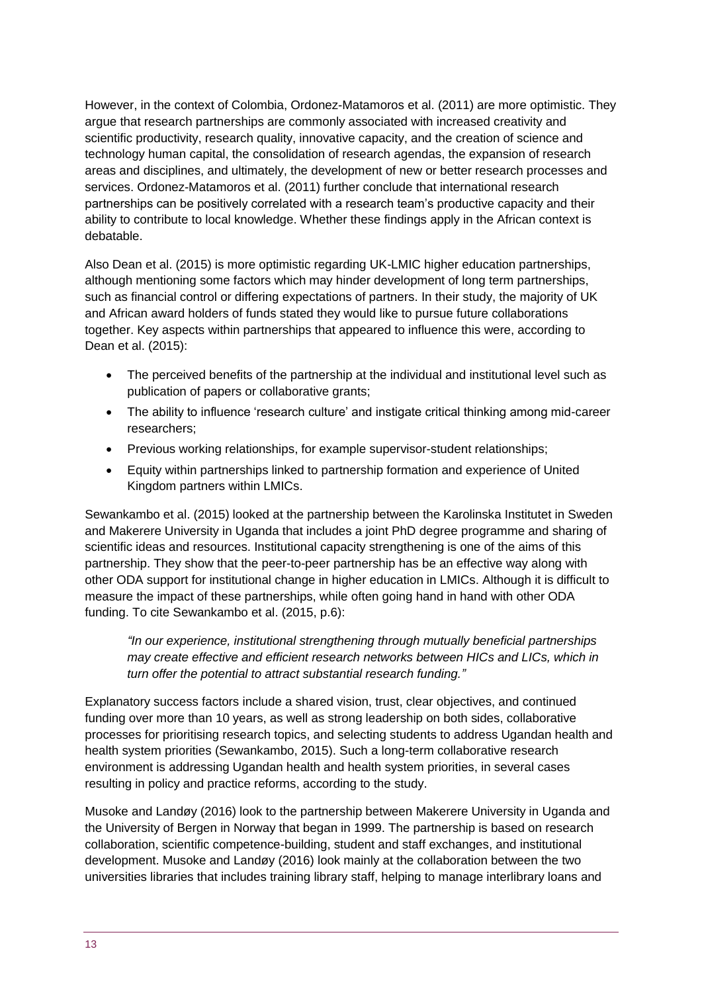However, in the context of Colombia, Ordonez-Matamoros et al. (2011) are more optimistic. They argue that research partnerships are commonly associated with increased creativity and scientific productivity, research quality, innovative capacity, and the creation of science and technology human capital, the consolidation of research agendas, the expansion of research areas and disciplines, and ultimately, the development of new or better research processes and services. Ordonez-Matamoros et al. (2011) further conclude that international research partnerships can be positively correlated with a research team's productive capacity and their ability to contribute to local knowledge. Whether these findings apply in the African context is debatable.

Also Dean et al. (2015) is more optimistic regarding UK-LMIC higher education partnerships, although mentioning some factors which may hinder development of long term partnerships, such as financial control or differing expectations of partners. In their study, the majority of UK and African award holders of funds stated they would like to pursue future collaborations together. Key aspects within partnerships that appeared to influence this were, according to Dean et al. (2015):

- The perceived benefits of the partnership at the individual and institutional level such as publication of papers or collaborative grants;
- The ability to influence 'research culture' and instigate critical thinking among mid-career researchers;
- Previous working relationships, for example supervisor-student relationships;
- Equity within partnerships linked to partnership formation and experience of United Kingdom partners within LMICs.

Sewankambo et al. (2015) looked at the partnership between the Karolinska Institutet in Sweden and Makerere University in Uganda that includes a joint PhD degree programme and sharing of scientific ideas and resources. Institutional capacity strengthening is one of the aims of this partnership. They show that the peer-to-peer partnership has be an effective way along with other ODA support for institutional change in higher education in LMICs. Although it is difficult to measure the impact of these partnerships, while often going hand in hand with other ODA funding. To cite Sewankambo et al. (2015, p.6):

*"In our experience, institutional strengthening through mutually beneficial partnerships may create effective and efficient research networks between HICs and LICs, which in turn offer the potential to attract substantial research funding."*

Explanatory success factors include a shared vision, trust, clear objectives, and continued funding over more than 10 years, as well as strong leadership on both sides, collaborative processes for prioritising research topics, and selecting students to address Ugandan health and health system priorities (Sewankambo, 2015). Such a long-term collaborative research environment is addressing Ugandan health and health system priorities, in several cases resulting in policy and practice reforms, according to the study.

Musoke and Landøy (2016) look to the partnership between Makerere University in Uganda and the University of Bergen in Norway that began in 1999. The partnership is based on research collaboration, scientific competence-building, student and staff exchanges, and institutional development. Musoke and Landøy (2016) look mainly at the collaboration between the two universities libraries that includes training library staff, helping to manage interlibrary loans and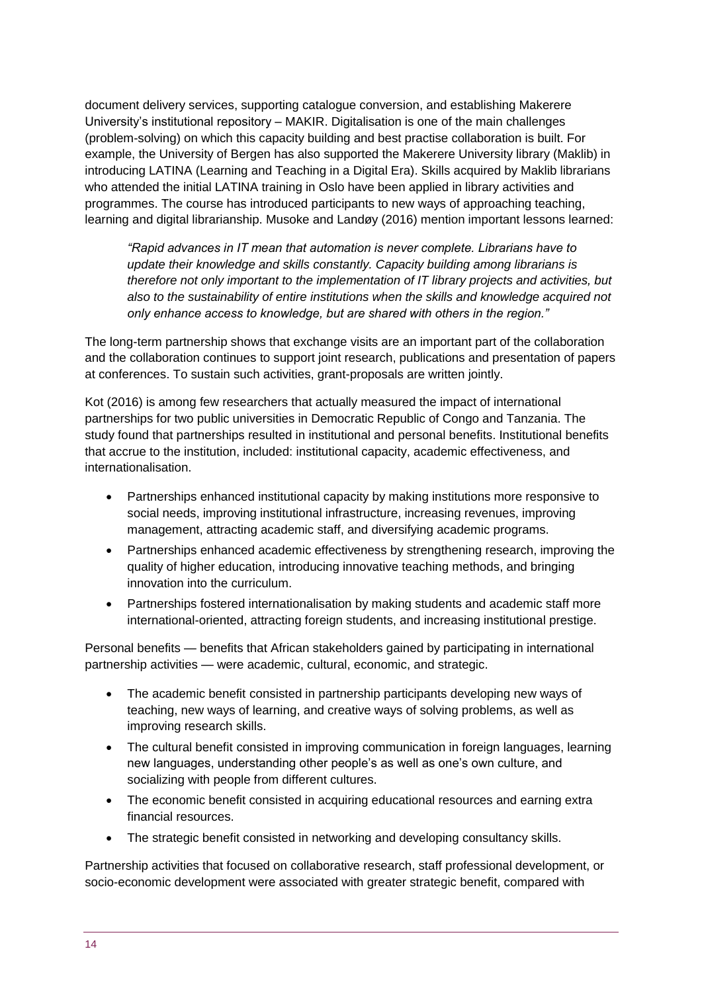document delivery services, supporting catalogue conversion, and establishing Makerere University's institutional repository – MAKIR. Digitalisation is one of the main challenges (problem-solving) on which this capacity building and best practise collaboration is built. For example, the University of Bergen has also supported the Makerere University library (Maklib) in introducing LATINA (Learning and Teaching in a Digital Era). Skills acquired by Maklib librarians who attended the initial LATINA training in Oslo have been applied in library activities and programmes. The course has introduced participants to new ways of approaching teaching, learning and digital librarianship. Musoke and Landøy (2016) mention important lessons learned:

*"Rapid advances in IT mean that automation is never complete. Librarians have to update their knowledge and skills constantly. Capacity building among librarians is therefore not only important to the implementation of IT library projects and activities, but also to the sustainability of entire institutions when the skills and knowledge acquired not only enhance access to knowledge, but are shared with others in the region."* 

The long-term partnership shows that exchange visits are an important part of the collaboration and the collaboration continues to support joint research, publications and presentation of papers at conferences. To sustain such activities, grant-proposals are written jointly.

Kot (2016) is among few researchers that actually measured the impact of international partnerships for two public universities in Democratic Republic of Congo and Tanzania. The study found that partnerships resulted in institutional and personal benefits. Institutional benefits that accrue to the institution, included: institutional capacity, academic effectiveness, and internationalisation.

- Partnerships enhanced institutional capacity by making institutions more responsive to social needs, improving institutional infrastructure, increasing revenues, improving management, attracting academic staff, and diversifying academic programs.
- Partnerships enhanced academic effectiveness by strengthening research, improving the quality of higher education, introducing innovative teaching methods, and bringing innovation into the curriculum.
- Partnerships fostered internationalisation by making students and academic staff more international-oriented, attracting foreign students, and increasing institutional prestige.

Personal benefits — benefits that African stakeholders gained by participating in international partnership activities — were academic, cultural, economic, and strategic.

- The academic benefit consisted in partnership participants developing new ways of teaching, new ways of learning, and creative ways of solving problems, as well as improving research skills.
- The cultural benefit consisted in improving communication in foreign languages, learning new languages, understanding other people's as well as one's own culture, and socializing with people from different cultures.
- The economic benefit consisted in acquiring educational resources and earning extra financial resources.
- The strategic benefit consisted in networking and developing consultancy skills.

Partnership activities that focused on collaborative research, staff professional development, or socio-economic development were associated with greater strategic benefit, compared with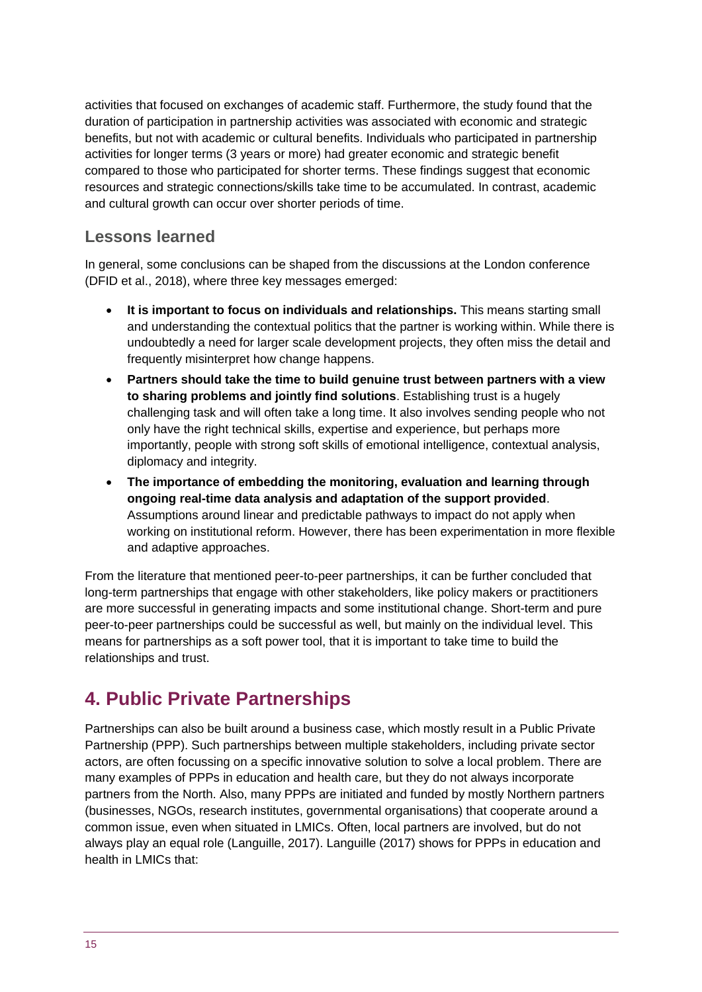activities that focused on exchanges of academic staff. Furthermore, the study found that the duration of participation in partnership activities was associated with economic and strategic benefits, but not with academic or cultural benefits. Individuals who participated in partnership activities for longer terms (3 years or more) had greater economic and strategic benefit compared to those who participated for shorter terms. These findings suggest that economic resources and strategic connections/skills take time to be accumulated. In contrast, academic and cultural growth can occur over shorter periods of time.

### **Lessons learned**

In general, some conclusions can be shaped from the discussions at the London conference (DFID et al., 2018), where three key messages emerged:

- **It is important to focus on individuals and relationships.** This means starting small and understanding the contextual politics that the partner is working within. While there is undoubtedly a need for larger scale development projects, they often miss the detail and frequently misinterpret how change happens.
- **Partners should take the time to build genuine trust between partners with a view to sharing problems and jointly find solutions**. Establishing trust is a hugely challenging task and will often take a long time. It also involves sending people who not only have the right technical skills, expertise and experience, but perhaps more importantly, people with strong soft skills of emotional intelligence, contextual analysis, diplomacy and integrity.
- **The importance of embedding the monitoring, evaluation and learning through ongoing real-time data analysis and adaptation of the support provided**. Assumptions around linear and predictable pathways to impact do not apply when working on institutional reform. However, there has been experimentation in more flexible and adaptive approaches.

From the literature that mentioned peer-to-peer partnerships, it can be further concluded that long-term partnerships that engage with other stakeholders, like policy makers or practitioners are more successful in generating impacts and some institutional change. Short-term and pure peer-to-peer partnerships could be successful as well, but mainly on the individual level. This means for partnerships as a soft power tool, that it is important to take time to build the relationships and trust.

# <span id="page-14-0"></span>**4. Public Private Partnerships**

Partnerships can also be built around a business case, which mostly result in a Public Private Partnership (PPP). Such partnerships between multiple stakeholders, including private sector actors, are often focussing on a specific innovative solution to solve a local problem. There are many examples of PPPs in education and health care, but they do not always incorporate partners from the North. Also, many PPPs are initiated and funded by mostly Northern partners (businesses, NGOs, research institutes, governmental organisations) that cooperate around a common issue, even when situated in LMICs. Often, local partners are involved, but do not always play an equal role (Languille, 2017). Languille (2017) shows for PPPs in education and health in LMICs that: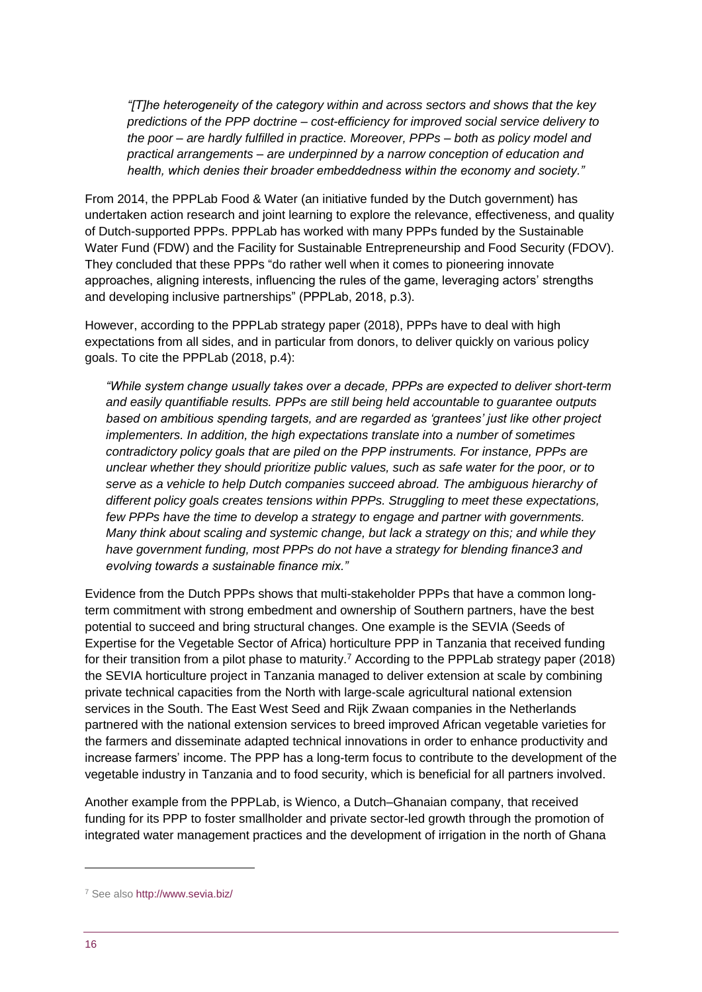*"[T]he heterogeneity of the category within and across sectors and shows that the key predictions of the PPP doctrine – cost-efficiency for improved social service delivery to the poor – are hardly fulfilled in practice. Moreover, PPPs – both as policy model and practical arrangements – are underpinned by a narrow conception of education and health, which denies their broader embeddedness within the economy and society."* 

From 2014, the PPPLab Food & Water (an initiative funded by the Dutch government) has undertaken action research and joint learning to explore the relevance, effectiveness, and quality of Dutch-supported PPPs. PPPLab has worked with many PPPs funded by the Sustainable Water Fund (FDW) and the Facility for Sustainable Entrepreneurship and Food Security (FDOV). They concluded that these PPPs "do rather well when it comes to pioneering innovate approaches, aligning interests, influencing the rules of the game, leveraging actors' strengths and developing inclusive partnerships" (PPPLab, 2018, p.3).

However, according to the PPPLab strategy paper (2018), PPPs have to deal with high expectations from all sides, and in particular from donors, to deliver quickly on various policy goals. To cite the PPPLab (2018, p.4):

*"While system change usually takes over a decade, PPPs are expected to deliver short-term and easily quantifiable results. PPPs are still being held accountable to guarantee outputs based on ambitious spending targets, and are regarded as 'grantees' just like other project implementers. In addition, the high expectations translate into a number of sometimes contradictory policy goals that are piled on the PPP instruments. For instance, PPPs are unclear whether they should prioritize public values, such as safe water for the poor, or to serve as a vehicle to help Dutch companies succeed abroad. The ambiguous hierarchy of different policy goals creates tensions within PPPs. Struggling to meet these expectations, few PPPs have the time to develop a strategy to engage and partner with governments. Many think about scaling and systemic change, but lack a strategy on this; and while they have government funding, most PPPs do not have a strategy for blending finance3 and evolving towards a sustainable finance mix."*

Evidence from the Dutch PPPs shows that multi-stakeholder PPPs that have a common longterm commitment with strong embedment and ownership of Southern partners, have the best potential to succeed and bring structural changes. One example is the SEVIA (Seeds of Expertise for the Vegetable Sector of Africa) horticulture PPP in Tanzania that received funding for their transition from a pilot phase to maturity.<sup>7</sup> According to the PPPLab strategy paper (2018) the SEVIA horticulture project in Tanzania managed to deliver extension at scale by combining private technical capacities from the North with large-scale agricultural national extension services in the South. The East West Seed and Rijk Zwaan companies in the Netherlands partnered with the national extension services to breed improved African vegetable varieties for the farmers and disseminate adapted technical innovations in order to enhance productivity and increase farmers' income. The PPP has a long-term focus to contribute to the development of the vegetable industry in Tanzania and to food security, which is beneficial for all partners involved.

Another example from the PPPLab, is Wienco, a Dutch–Ghanaian company, that received funding for its PPP to foster smallholder and private sector-led growth through the promotion of integrated water management practices and the development of irrigation in the north of Ghana

-

<sup>7</sup> See also<http://www.sevia.biz/>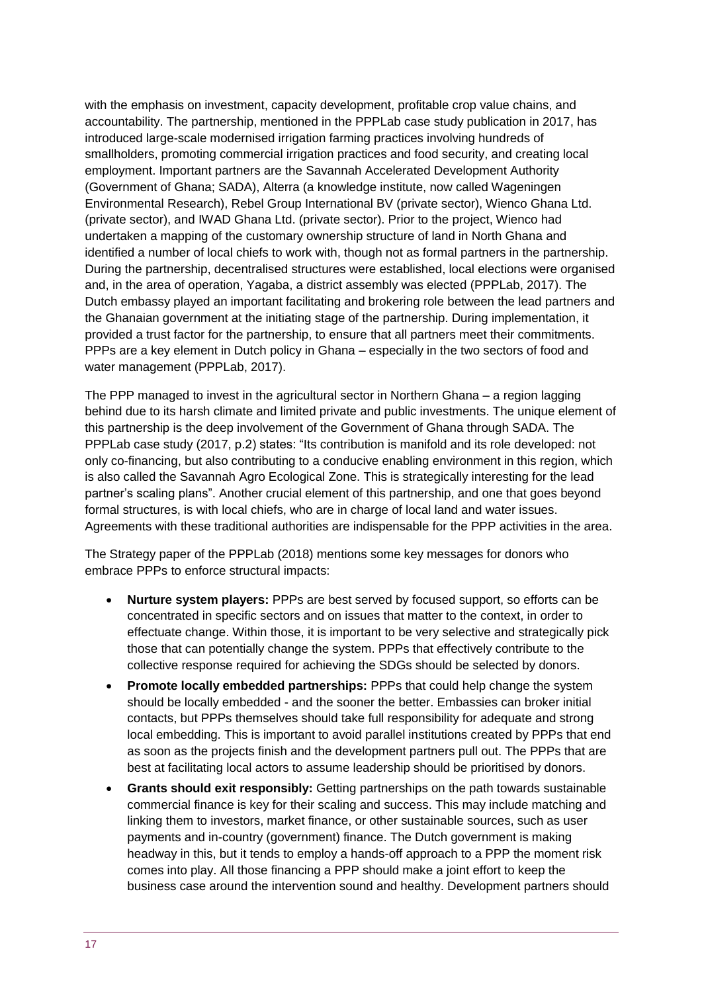with the emphasis on investment, capacity development, profitable crop value chains, and accountability. The partnership, mentioned in the PPPLab case study publication in 2017, has introduced large-scale modernised irrigation farming practices involving hundreds of smallholders, promoting commercial irrigation practices and food security, and creating local employment. Important partners are the Savannah Accelerated Development Authority (Government of Ghana; SADA), Alterra (a knowledge institute, now called Wageningen Environmental Research), Rebel Group International BV (private sector), Wienco Ghana Ltd. (private sector), and IWAD Ghana Ltd. (private sector). Prior to the project, Wienco had undertaken a mapping of the customary ownership structure of land in North Ghana and identified a number of local chiefs to work with, though not as formal partners in the partnership. During the partnership, decentralised structures were established, local elections were organised and, in the area of operation, Yagaba, a district assembly was elected (PPPLab, 2017). The Dutch embassy played an important facilitating and brokering role between the lead partners and the Ghanaian government at the initiating stage of the partnership. During implementation, it provided a trust factor for the partnership, to ensure that all partners meet their commitments. PPPs are a key element in Dutch policy in Ghana – especially in the two sectors of food and water management (PPPLab, 2017).

The PPP managed to invest in the agricultural sector in Northern Ghana – a region lagging behind due to its harsh climate and limited private and public investments. The unique element of this partnership is the deep involvement of the Government of Ghana through SADA. The PPPLab case study (2017, p.2) states: "Its contribution is manifold and its role developed: not only co-financing, but also contributing to a conducive enabling environment in this region, which is also called the Savannah Agro Ecological Zone. This is strategically interesting for the lead partner's scaling plans". Another crucial element of this partnership, and one that goes beyond formal structures, is with local chiefs, who are in charge of local land and water issues. Agreements with these traditional authorities are indispensable for the PPP activities in the area.

The Strategy paper of the PPPLab (2018) mentions some key messages for donors who embrace PPPs to enforce structural impacts:

- **Nurture system players:** PPPs are best served by focused support, so efforts can be concentrated in specific sectors and on issues that matter to the context, in order to effectuate change. Within those, it is important to be very selective and strategically pick those that can potentially change the system. PPPs that effectively contribute to the collective response required for achieving the SDGs should be selected by donors.
- **Promote locally embedded partnerships:** PPPs that could help change the system should be locally embedded - and the sooner the better. Embassies can broker initial contacts, but PPPs themselves should take full responsibility for adequate and strong local embedding. This is important to avoid parallel institutions created by PPPs that end as soon as the projects finish and the development partners pull out. The PPPs that are best at facilitating local actors to assume leadership should be prioritised by donors.
- **Grants should exit responsibly:** Getting partnerships on the path towards sustainable commercial finance is key for their scaling and success. This may include matching and linking them to investors, market finance, or other sustainable sources, such as user payments and in-country (government) finance. The Dutch government is making headway in this, but it tends to employ a hands-off approach to a PPP the moment risk comes into play. All those financing a PPP should make a joint effort to keep the business case around the intervention sound and healthy. Development partners should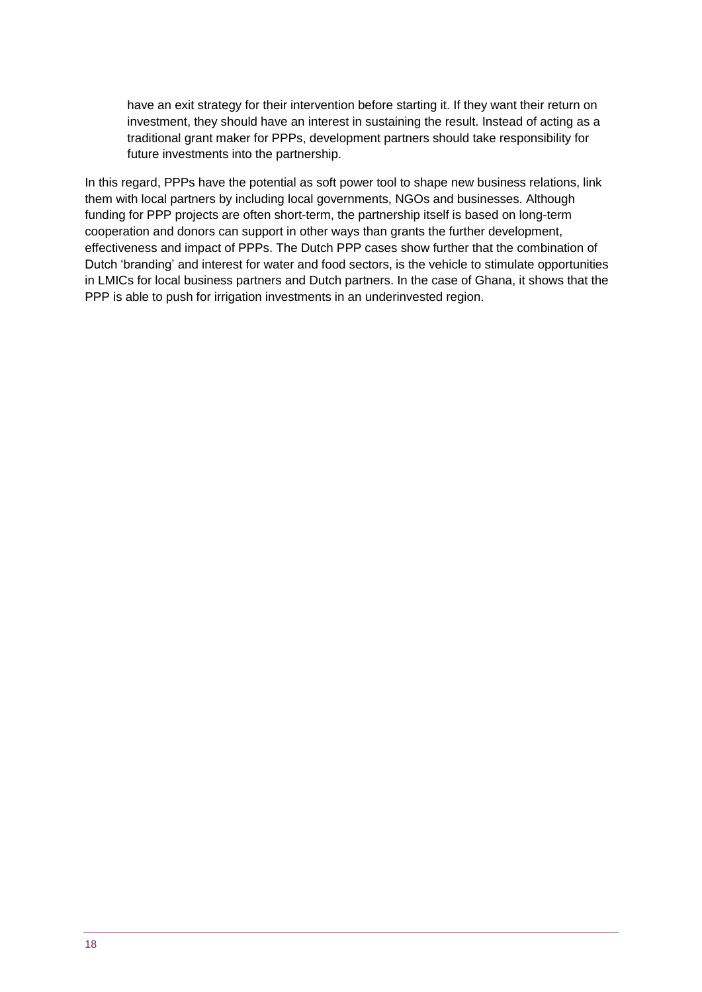have an exit strategy for their intervention before starting it. If they want their return on investment, they should have an interest in sustaining the result. Instead of acting as a traditional grant maker for PPPs, development partners should take responsibility for future investments into the partnership.

In this regard, PPPs have the potential as soft power tool to shape new business relations, link them with local partners by including local governments, NGOs and businesses. Although funding for PPP projects are often short-term, the partnership itself is based on long-term cooperation and donors can support in other ways than grants the further development, effectiveness and impact of PPPs. The Dutch PPP cases show further that the combination of Dutch 'branding' and interest for water and food sectors, is the vehicle to stimulate opportunities in LMICs for local business partners and Dutch partners. In the case of Ghana, it shows that the PPP is able to push for irrigation investments in an underinvested region.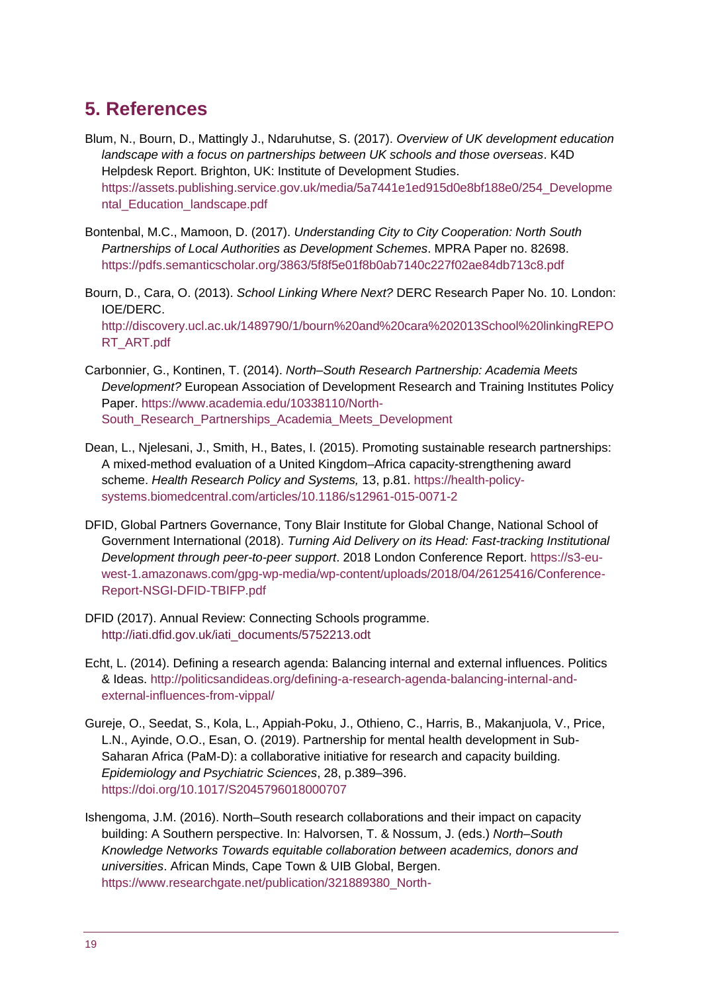# <span id="page-18-0"></span>**5. References**

- Blum, N., Bourn, D., Mattingly J., Ndaruhutse, S. (2017). *Overview of UK development education landscape with a focus on partnerships between UK schools and those overseas*. K4D Helpdesk Report. Brighton, UK: Institute of Development Studies. [https://assets.publishing.service.gov.uk/media/5a7441e1ed915d0e8bf188e0/254\\_Developme](https://assets.publishing.service.gov.uk/media/5a7441e1ed915d0e8bf188e0/254_Developmental_Education_landscape.pdf) [ntal\\_Education\\_landscape.pdf](https://assets.publishing.service.gov.uk/media/5a7441e1ed915d0e8bf188e0/254_Developmental_Education_landscape.pdf)
- Bontenbal, M.C., Mamoon, D. (2017). *Understanding City to City Cooperation: North South Partnerships of Local Authorities as Development Schemes*. MPRA Paper no. 82698. <https://pdfs.semanticscholar.org/3863/5f8f5e01f8b0ab7140c227f02ae84db713c8.pdf>
- Bourn, D., Cara, O. (2013). *School Linking Where Next?* DERC Research Paper No. 10. London: IOE/DERC. [http://discovery.ucl.ac.uk/1489790/1/bourn%20and%20cara%202013School%20linkingREPO](http://discovery.ucl.ac.uk/1489790/1/bourn%20and%20cara%202013School%20linkingREPORT_ART.pdf) [RT\\_ART.pdf](http://discovery.ucl.ac.uk/1489790/1/bourn%20and%20cara%202013School%20linkingREPORT_ART.pdf)
- Carbonnier, G., Kontinen, T. (2014). *North–South Research Partnership: Academia Meets Development?* European Association of Development Research and Training Institutes Policy Paper. [https://www.academia.edu/10338110/North-](https://www.academia.edu/10338110/North-South_Research_Partnerships_Academia_Meets_Development)[South\\_Research\\_Partnerships\\_Academia\\_Meets\\_Development](https://www.academia.edu/10338110/North-South_Research_Partnerships_Academia_Meets_Development)
- Dean, L., Njelesani, J., Smith, H., Bates, I. (2015). Promoting sustainable research partnerships: A mixed-method evaluation of a United Kingdom–Africa capacity-strengthening award scheme. *Health Research Policy and Systems,* 13, p.81. [https://health-policy](https://health-policy-systems.biomedcentral.com/articles/10.1186/s12961-015-0071-2)[systems.biomedcentral.com/articles/10.1186/s12961-015-0071-2](https://health-policy-systems.biomedcentral.com/articles/10.1186/s12961-015-0071-2)
- DFID, Global Partners Governance, Tony Blair Institute for Global Change, National School of Government International (2018). *Turning Aid Delivery on its Head: Fast-tracking Institutional Development through peer-to-peer support*. 2018 London Conference Report. [https://s3-eu](https://s3-eu-west-1.amazonaws.com/gpg-wp-media/wp-content/uploads/2018/04/26125416/Conference-Report-NSGI-DFID-TBIFP.pdf)[west-1.amazonaws.com/gpg-wp-media/wp-content/uploads/2018/04/26125416/Conference-](https://s3-eu-west-1.amazonaws.com/gpg-wp-media/wp-content/uploads/2018/04/26125416/Conference-Report-NSGI-DFID-TBIFP.pdf)[Report-NSGI-DFID-TBIFP.pdf](https://s3-eu-west-1.amazonaws.com/gpg-wp-media/wp-content/uploads/2018/04/26125416/Conference-Report-NSGI-DFID-TBIFP.pdf)
- DFID (2017). Annual Review: Connecting Schools programme. [http://iati.dfid.gov.uk/iati\\_documents/5752213.odt](http://iati.dfid.gov.uk/iati_documents/5752213.odt)
- Echt, L. (2014). Defining a research agenda: Balancing internal and external influences. Politics & Ideas. [http://politicsandideas.org/defining-a-research-agenda-balancing-internal-and](http://politicsandideas.org/defining-a-research-agenda-balancing-internal-and-external-influences-from-vippal/)[external-influences-from-vippal/](http://politicsandideas.org/defining-a-research-agenda-balancing-internal-and-external-influences-from-vippal/)
- Gureje, O., Seedat, S., Kola, L., Appiah-Poku, J., Othieno, C., Harris, B., Makanjuola, V., Price, L.N., Ayinde, O.O., Esan, O. (2019). Partnership for mental health development in Sub-Saharan Africa (PaM-D): a collaborative initiative for research and capacity building. *Epidemiology and Psychiatric Sciences*, 28, p.389–396. <https://doi.org/10.1017/S2045796018000707>
- Ishengoma, J.M. (2016). North–South research collaborations and their impact on capacity building: A Southern perspective. In: Halvorsen, T. & Nossum, J. (eds.) *North–South Knowledge Networks Towards equitable collaboration between academics, donors and universities*. African Minds, Cape Town & UIB Global, Bergen. [https://www.researchgate.net/publication/321889380\\_North-](https://www.researchgate.net/publication/321889380_North-south_knowledge_networks_towards_equitable_collaboration_between_Academics_donors_and_universities)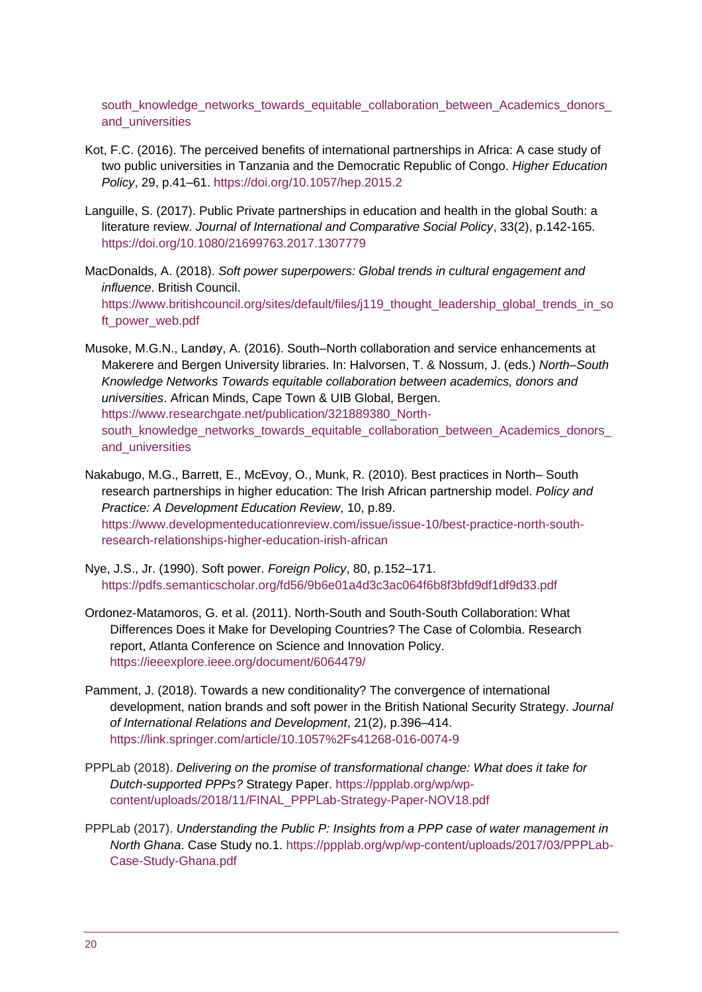south\_knowledge\_networks\_towards\_equitable\_collaboration\_between\_Academics\_donors [and\\_universities](https://www.researchgate.net/publication/321889380_North-south_knowledge_networks_towards_equitable_collaboration_between_Academics_donors_and_universities)

- Kot, F.C. (2016). The perceived benefits of international partnerships in Africa: A case study of two public universities in Tanzania and the Democratic Republic of Congo. *Higher Education Policy*, 29, p.41–61. <https://doi.org/10.1057/hep.2015.2>
- Languille, S. (2017). Public Private partnerships in education and health in the global South: a literature review. *Journal of International and Comparative Social Policy*, 33(2), p.142-165. <https://doi.org/10.1080/21699763.2017.1307779>
- MacDonalds, A. (2018). *Soft power superpowers: Global trends in cultural engagement and influence*. British Council. [https://www.britishcouncil.org/sites/default/files/j119\\_thought\\_leadership\\_global\\_trends\\_in\\_so](https://www.britishcouncil.org/sites/default/files/j119_thought_leadership_global_trends_in_soft_power_web.pdf) [ft\\_power\\_web.pdf](https://www.britishcouncil.org/sites/default/files/j119_thought_leadership_global_trends_in_soft_power_web.pdf)
- Musoke, M.G.N., Landøy, A. (2016). South–North collaboration and service enhancements at Makerere and Bergen University libraries. In: Halvorsen, T. & Nossum, J. (eds.) *North–South Knowledge Networks Towards equitable collaboration between academics, donors and universities*. African Minds, Cape Town & UIB Global, Bergen. [https://www.researchgate.net/publication/321889380\\_North](https://www.researchgate.net/publication/321889380_North-south_knowledge_networks_towards_equitable_collaboration_between_Academics_donors_and_universities)south\_knowledge\_networks\_towards\_equitable\_collaboration\_between\_Academics\_donors [and\\_universities](https://www.researchgate.net/publication/321889380_North-south_knowledge_networks_towards_equitable_collaboration_between_Academics_donors_and_universities)
- Nakabugo, M.G., Barrett, E., McEvoy, O., Munk, R. (2010). Best practices in North– South research partnerships in higher education: The Irish African partnership model. *Policy and Practice: A Development Education Review*, 10, p.89. [https://www.developmenteducationreview.com/issue/issue-10/best-practice-north-south](https://www.developmenteducationreview.com/issue/issue-10/best-practice-north-south-research-relationships-higher-education-irish-african)[research-relationships-higher-education-irish-african](https://www.developmenteducationreview.com/issue/issue-10/best-practice-north-south-research-relationships-higher-education-irish-african)
- Nye, J.S., Jr. (1990). Soft power. *Foreign Policy*, 80, p.152–171. <https://pdfs.semanticscholar.org/fd56/9b6e01a4d3c3ac064f6b8f3bfd9df1df9d33.pdf>
- Ordonez-Matamoros, G. et al. (2011). North-South and South-South Collaboration: What Differences Does it Make for Developing Countries? The Case of Colombia. Research report, Atlanta Conference on Science and Innovation Policy. <https://ieeexplore.ieee.org/document/6064479/>
- Pamment, J. (2018). Towards a new conditionality? The convergence of international development, nation brands and soft power in the British National Security Strategy. *Journal of International Relations and Development*, 21(2), p.396–414. <https://link.springer.com/article/10.1057%2Fs41268-016-0074-9>
- PPPLab (2018). *Delivering on the promise of transformational change: What does it take for Dutch-supported PPPs?* Strategy Paper. [https://ppplab.org/wp/wp](https://ppplab.org/wp/wp-content/uploads/2018/11/FINAL_PPPLab-Strategy-Paper-NOV18.pdf)[content/uploads/2018/11/FINAL\\_PPPLab-Strategy-Paper-NOV18.pdf](https://ppplab.org/wp/wp-content/uploads/2018/11/FINAL_PPPLab-Strategy-Paper-NOV18.pdf)
- PPPLab (2017). *Understanding the Public P: Insights from a PPP case of water management in North Ghana*. Case Study no.1. [https://ppplab.org/wp/wp-content/uploads/2017/03/PPPLab-](https://ppplab.org/wp/wp-content/uploads/2017/03/PPPLab-Case-Study-Ghana.pdf)[Case-Study-Ghana.pdf](https://ppplab.org/wp/wp-content/uploads/2017/03/PPPLab-Case-Study-Ghana.pdf)